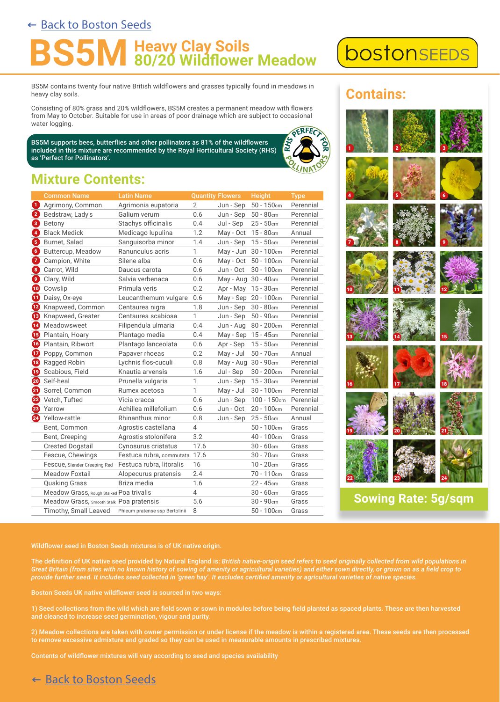### ← [Back to Boston Seeds](https://www.bostonseeds.com/products/wildflowers-seed/wildflower-seed-mixtures-20/bs5m-heavy-clay-soils-wildflower-meadow-seeds.html)

## **Heavy Clay Soils<br>80/20 Wildflower Meadow**

BS5M contains twenty four native British wildflowers and grasses typically found in meadows in heavy clay soils.

Consisting of 80% grass and 20% wildflowers, BS5M creates a permanent meadow with flowers from May to October. Suitable for use in areas of poor drainage which are subject to occasional water logging.

BS5M supports bees, butterflies and other pollinators as 81% of the wildflowers included in this mixture are recommended by the Royal Horticultural Society (RHS) as 'Perfect for Pollinators'.

# **OERFECT**

1

2

bostonsEEDS

**Contains:**

3

9

12

6

8

11

5

7

10

4

## **Mixture Contents:**

|     | <b>Common Name</b>                       | <b>Latin Name</b>              |                | <b>Quantity Flowers</b> | <b>Height</b>           | <b>Type</b> |
|-----|------------------------------------------|--------------------------------|----------------|-------------------------|-------------------------|-------------|
| 0   | Agrimony, Common                         | Agrimonia eupatoria            | $\overline{2}$ | Jun - Sep               | $50 - 150$ cm           | Perennial   |
| 0   | Bedstraw, Lady's                         | Galium verum                   | 0.6            | Jun - Sep               | $50 - 80$ cm            | Perennial   |
| ❸   | Betony                                   | Stachys officinalis            | 0.4            | Jul - Sep               | $25 - 50$ cm            | Perennial   |
| Ø   | <b>Black Medick</b>                      | Medicago lupulina              | 1.2            | May - Oct 15 - 80cm     |                         | Annual      |
| 0   | Burnet, Salad                            | Sanguisorba minor              | 1.4            | Jun - Sep               | $15 - 50$ cm            | Perennial   |
| O   | Buttercup, Meadow                        | Ranunculus acris               | $\mathbf{1}$   |                         | May - Jun 30 - 100cm    | Perennial   |
| Ø   | Campion, White                           | Silene alba                    | 0.6            |                         | May - Oct 50 - 100cm    | Perennial   |
| 8   | Carrot, Wild                             | Daucus carota                  | 0.6            | Jun - Oct               | $30 - 100$ cm           | Perennial   |
| Ø   | Clary, Wild                              | Salvia verbenaca               | 0.6            | May - Aug 30 - 40cm     |                         | Perennial   |
| ⊕   | Cowslip                                  | Primula veris                  | 0.2            | Apr - May 15 - 30cm     |                         | Perennial   |
| ⊕   | Daisy, Ox-eye                            | Leucanthemum vulgare           | 0.6            |                         | May - Sep 20 - 100cm    | Perennial   |
| Ø   | Knapweed, Common                         | Centaurea nigra                | 1.8            | Jun - Sep               | $30 - 80$ cm            | Perennial   |
| ⊕   | Knapweed, Greater                        | Centaurea scabiosa             | 1              | Jun - Sep               | $50 - 90$ cm            | Perennial   |
| Ø   | Meadowsweet                              | Filipendula ulmaria            | 0.4            |                         | Jun - Aug 80 - 200cm    | Perennial   |
| ß   | Plantain, Hoary                          | Plantago media                 | 0.4            | May - Sep 15 - 45cm     |                         | Perennial   |
| to. | Plantain, Ribwort                        | Plantago lanceolata            | 0.6            | Apr - Sep               | $15 - 50$ cm            | Perennial   |
| ⊕   | Poppy, Common                            | Papaver rhoeas                 | 0.2            | May - Jul               | $50 - 70$ cm            | Annual      |
| ®   | Ragged Robin                             | Lychnis flos-cuculi            | 0.8            | May - Aug 30 - 90cm     |                         | Perennial   |
| ⊕   | Scabious, Field                          | Knautia arvensis               | 1.6            | Jul - Sep               | $30 - 200$ cm           | Perennial   |
| ☜   | Self-heal                                | Prunella vulgaris              | 1              | Jun - Sep               | $15 - 30$ cm            | Perennial   |
| ❹   | Sorrel, Common                           | Rumex acetosa                  | $\mathbf{1}$   | May - Jul               | $30 - 100$ cm           | Perennial   |
| ☎   | Vetch, Tufted                            | Vicia cracca                   | 0.6            | Jun - Sep               | $100 - 150$ cm          | Perennial   |
|     | 28 Yarrow                                | Achillea millefolium           | 0.6            | Jun - Oct               | $20 - 100$ cm           | Perennial   |
| ❷   | Yellow-rattle                            | Rhinanthus minor               | 0.8            | Jun - Sep               | $25 - 50$ cm            | Annual      |
|     | Bent, Common                             | Agrostis castellana            | $\overline{4}$ |                         | $50 - 100$ cm           | Grass       |
|     | Bent, Creeping                           | Agrostis stolonifera           | 3.2            |                         | $40 - 100$ cm           | Grass       |
|     | <b>Crested Dogstail</b>                  | Cynosurus cristatus            | 17.6           |                         | $30 - 60$ cm            | Grass       |
|     | Fescue, Chewings                         | Festuca rubra, commutata       | 17.6           |                         | $30 - 70$ cm            | Grass       |
|     | Fescue, Slender Creeping Red             | Festuca rubra, litoralis       | 16             |                         | $10 - 20$ cm            | Grass       |
|     | Meadow Foxtail                           | Alopecurus pratensis           | 2.4            |                         | 70 - 110cm              | Grass       |
|     | <b>Quaking Grass</b>                     | Briza media                    | 1.6            |                         | $22 - 45$ <sub>cm</sub> | Grass       |
|     | Meadow Grass, Rough Stalked Poa trivalis |                                | $\overline{4}$ |                         | $30 - 60$ cm            | Grass       |
|     | Meadow Grass, Smooth Stalk Poa pratensis |                                | 5.6            |                         | $30 - 90$ cm            | Grass       |
|     | Timothy, Small Leaved                    | Phleum pratense ssp Bertolinii | 8              |                         | $50 - 100$ cm           | Grass       |



## **Sowing Rate: 5g/sqm**

Wildflower seed in Boston Seeds mixtures is of UK native origin.

The definition of UK native seed provided by Natural England is: *British native-origin seed refers to seed originally collected from wild populations in Great Britain (from sites with no known history of sowing of amenity or agricultural varieties) and either sown directly, or grown on as a field crop to provide further seed. It includes seed collected in 'green hay'. It excludes certified amenity or agricultural varieties of native species.*

Boston Seeds UK native wildflower seed is sourced in two ways:

1) Seed collections from the wild which are field sown or sown in modules before being field planted as spaced plants. These are then harvested and cleaned to increase seed germination, vigour and purity.

2) Meadow collections are taken with owner permission or under license if the meadow is within a registered area. These seeds are then processed to remove excessive admixture and graded so they can be used in measurable amounts in prescribed mixtures.

Contents of wildflower mixtures will vary according to seed and species availability

#### ← [Back to Boston Seeds](https://www.bostonseeds.com/products/wildflowers-seed/wildflower-seed-mixtures-20/bs5m-heavy-clay-soils-wildflower-meadow-seeds.html)